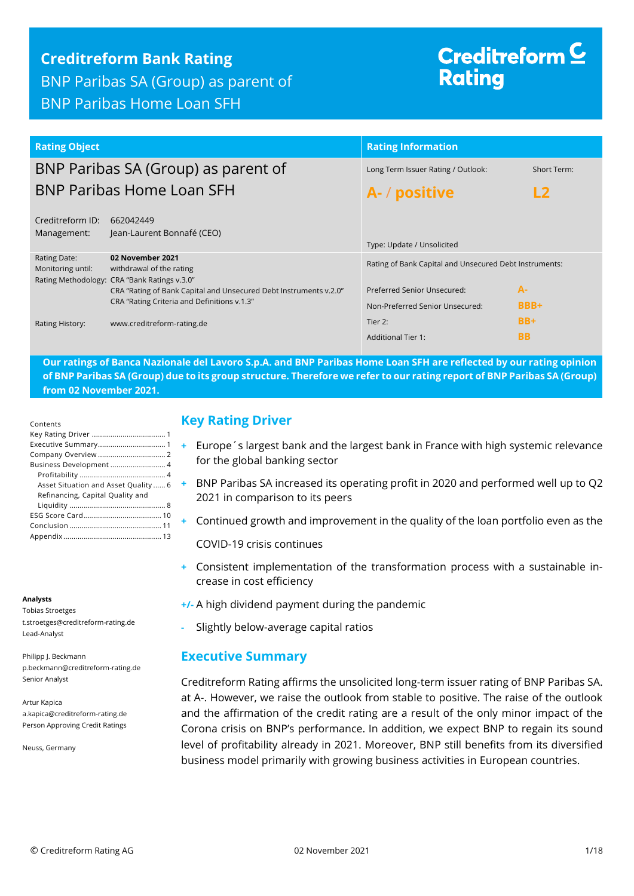## **Creditreform Bank Rating**

BNP Paribas SA (Group) as parent of BNP Paribas Home Loan SFH

# Creditreform  $\subseteq$ **Rating**

| <b>Rating Object</b>              |                                                                                                                  | <b>Rating Information</b>                                      |               |
|-----------------------------------|------------------------------------------------------------------------------------------------------------------|----------------------------------------------------------------|---------------|
|                                   | BNP Paribas SA (Group) as parent of                                                                              | Long Term Issuer Rating / Outlook:                             | Short Term:   |
| <b>BNP Paribas Home Loan SFH</b>  |                                                                                                                  | A- / positive                                                  | $\mathsf{L2}$ |
| Creditreform ID:<br>Management:   | 662042449<br>Jean-Laurent Bonnafé (CEO)                                                                          | Type: Update / Unsolicited                                     |               |
| Rating Date:<br>Monitoring until: | 02 November 2021<br>withdrawal of the rating<br>Rating Methodology: CRA "Bank Ratings v.3.0"                     | Rating of Bank Capital and Unsecured Debt Instruments:         |               |
|                                   | CRA "Rating of Bank Capital and Unsecured Debt Instruments v.2.0"<br>CRA "Rating Criteria and Definitions v.1.3" | Preferred Senior Unsecured:<br>Non-Preferred Senior Unsecured: | $A-$<br>BBB+  |
| Rating History:                   | www.creditreform-rating.de                                                                                       | Tier 2:                                                        | $BB+$         |
|                                   |                                                                                                                  | <b>Additional Tier 1:</b>                                      | <b>BB</b>     |

**Our ratings of Banca Nazionale del Lavoro S.p.A. and BNP Paribas Home Loan SFH are reflected by our rating opinion of BNP Paribas SA (Group) due to its group structure. Therefore we refer to our rating report of BNP Paribas SA (Group) from 02 November 2021.**

| Contents                                                                 |
|--------------------------------------------------------------------------|
|                                                                          |
|                                                                          |
|                                                                          |
| Business Development  4                                                  |
|                                                                          |
| Asset Situation and Asset Quality  6<br>Refinancing, Capital Quality and |
|                                                                          |
|                                                                          |
|                                                                          |
|                                                                          |

#### **Analysts**

Tobias Stroetges t.stroetges@creditreform-rating.de Lead-Analyst

Philipp J. Beckmann p.beckmann@creditreform-rating.de Senior Analyst

Artur Kapica a.kapica@creditreform-rating.de Person Approving Credit Ratings

Neuss, Germany

## <span id="page-0-0"></span>**Key Rating Driver**

- **+** Europe´s largest bank and the largest bank in France with high systemic relevance for the global banking sector
- **+** BNP Paribas SA increased its operating profit in 2020 and performed well up to Q2 2021 in comparison to its peers
- **+** Continued growth and improvement in the quality of the loan portfolio even as the

COVID-19 crisis continues

- **+** Consistent implementation of the transformation process with a sustainable increase in cost efficiency
- **+/-** A high dividend payment during the pandemic
- **-** Slightly below-average capital ratios

#### <span id="page-0-1"></span>**Executive Summary**

Creditreform Rating affirms the unsolicited long-term issuer rating of BNP Paribas SA. at A-. However, we raise the outlook from stable to positive. The raise of the outlook and the affirmation of the credit rating are a result of the only minor impact of the Corona crisis on BNP's performance. In addition, we expect BNP to regain its sound level of profitability already in 2021. Moreover, BNP still benefits from its diversified business model primarily with growing business activities in European countries.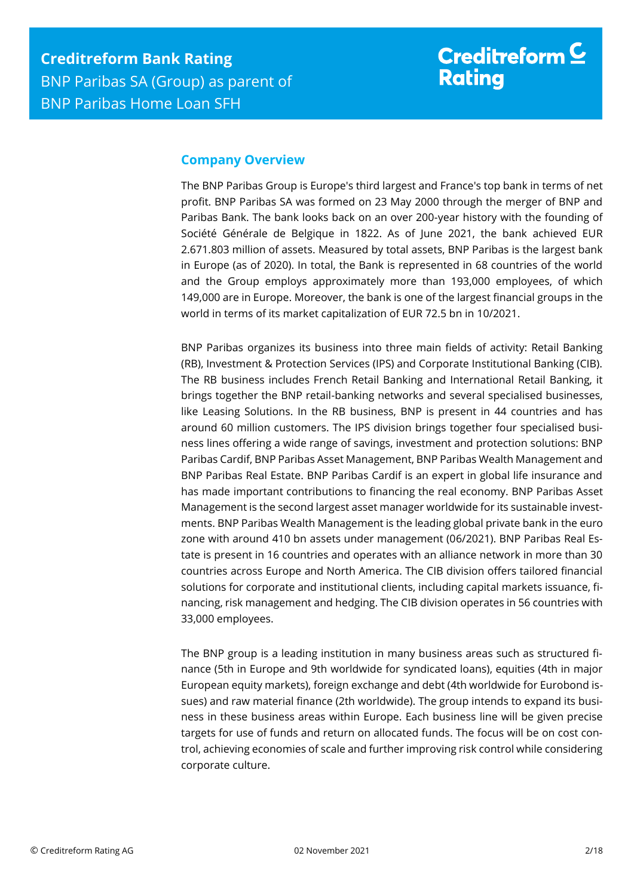## <span id="page-1-0"></span>**Company Overview**

The BNP Paribas Group is Europe's third largest and France's top bank in terms of net profit. BNP Paribas SA was formed on 23 May 2000 through the merger of BNP and Paribas Bank. The bank looks back on an over 200-year history with the founding of Société Générale de Belgique in 1822. As of June 2021, the bank achieved EUR 2.671.803 million of assets. Measured by total assets, BNP Paribas is the largest bank in Europe (as of 2020). In total, the Bank is represented in 68 countries of the world and the Group employs approximately more than 193,000 employees, of which 149,000 are in Europe. Moreover, the bank is one of the largest financial groups in the world in terms of its market capitalization of EUR 72.5 bn in 10/2021.

BNP Paribas organizes its business into three main fields of activity: Retail Banking (RB), Investment & Protection Services (IPS) and Corporate Institutional Banking (CIB). The RB business includes French Retail Banking and International Retail Banking, it brings together the BNP retail-banking networks and several specialised businesses, like Leasing Solutions. In the RB business, BNP is present in 44 countries and has around 60 million customers. The IPS division brings together four specialised business lines offering a wide range of savings, investment and protection solutions: BNP Paribas Cardif, BNP Paribas Asset Management, BNP Paribas Wealth Management and BNP Paribas Real Estate. BNP Paribas Cardif is an expert in global life insurance and has made important contributions to financing the real economy. BNP Paribas Asset Management is the second largest asset manager worldwide for its sustainable investments. BNP Paribas Wealth Management is the leading global private bank in the euro zone with around 410 bn assets under management (06/2021). BNP Paribas Real Estate is present in 16 countries and operates with an alliance network in more than 30 countries across Europe and North America. The CIB division offers tailored financial solutions for corporate and institutional clients, including capital markets issuance, financing, risk management and hedging. The CIB division operates in 56 countries with 33,000 employees.

The BNP group is a leading institution in many business areas such as structured finance (5th in Europe and 9th worldwide for syndicated loans), equities (4th in major European equity markets), foreign exchange and debt (4th worldwide for Eurobond issues) and raw material finance (2th worldwide). The group intends to expand its business in these business areas within Europe. Each business line will be given precise targets for use of funds and return on allocated funds. The focus will be on cost control, achieving economies of scale and further improving risk control while considering corporate culture.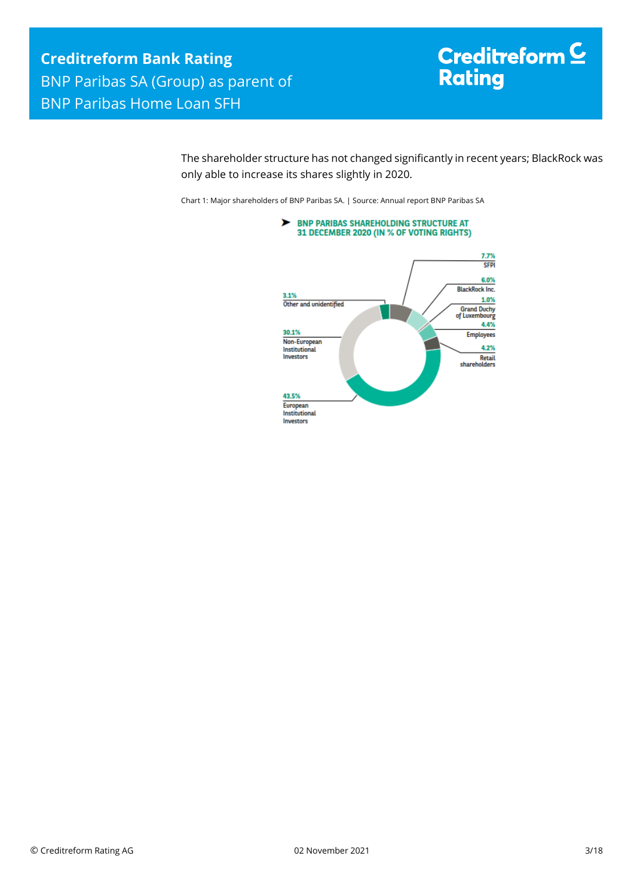# Creditreform<sup>C</sup> **Rating**

The shareholder structure has not changed significantly in recent years; BlackRock was only able to increase its shares slightly in 2020.

Chart 1: Major shareholders of BNP Paribas SA. | Source: Annual report BNP Paribas SA

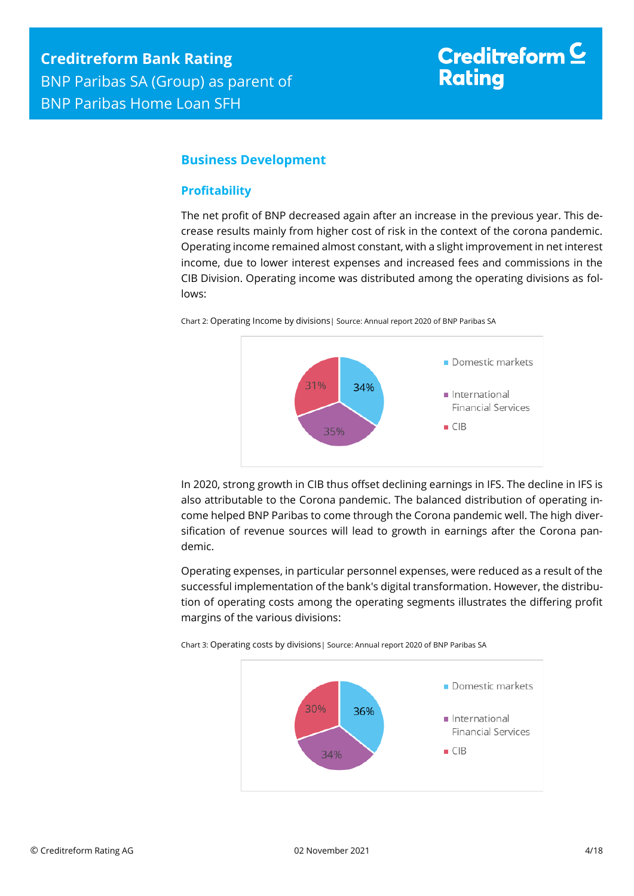# Creditreform  $\subseteq$ **Rating**

## <span id="page-3-0"></span>**Business Development**

#### <span id="page-3-1"></span>**Profitability**

The net profit of BNP decreased again after an increase in the previous year. This decrease results mainly from higher cost of risk in the context of the corona pandemic. Operating income remained almost constant, with a slight improvement in net interest income, due to lower interest expenses and increased fees and commissions in the CIB Division. Operating income was distributed among the operating divisions as follows:



Chart 2: Operating Income by divisions| Source: Annual report 2020 of BNP Paribas SA



In 2020, strong growth in CIB thus offset declining earnings in IFS. The decline in IFS is also attributable to the Corona pandemic. The balanced distribution of operating income helped BNP Paribas to come through the Corona pandemic well. The high diversification of revenue sources will lead to growth in earnings after the Corona pandemic.

Operating expenses, in particular personnel expenses, were reduced as a result of the successful implementation of the bank's digital transformation. However, the distribution of operating costs among the operating segments illustrates the differing profit margins of the various divisions:



Chart 3: Operating costs by divisions| Source: Annual report 2020 of BNP Paribas SA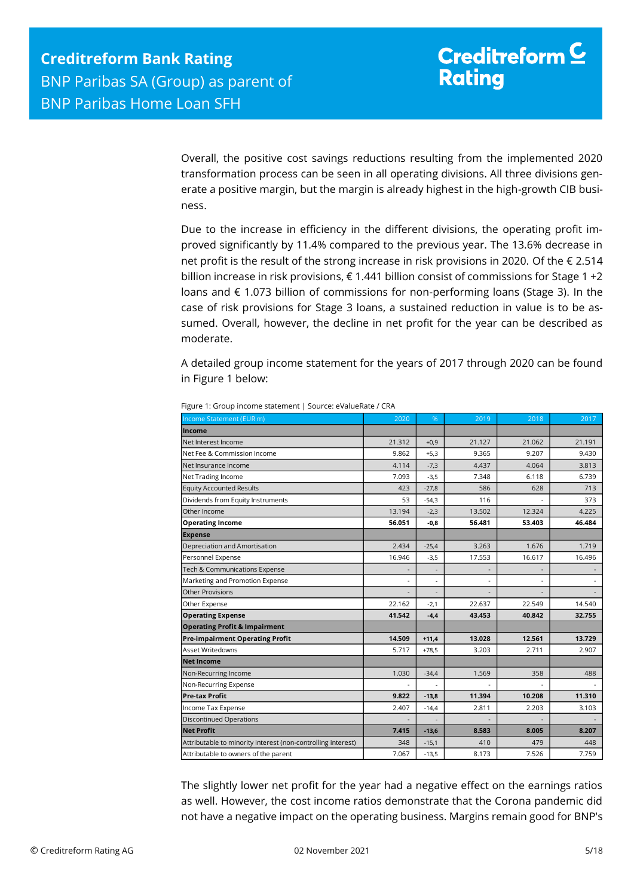Overall, the positive cost savings reductions resulting from the implemented 2020 transformation process can be seen in all operating divisions. All three divisions generate a positive margin, but the margin is already highest in the high-growth CIB business.

Due to the increase in efficiency in the different divisions, the operating profit improved significantly by 11.4% compared to the previous year. The 13.6% decrease in net profit is the result of the strong increase in risk provisions in 2020. Of the € 2.514 billion increase in risk provisions, € 1.441 billion consist of commissions for Stage 1 +2 loans and € 1.073 billion of commissions for non-performing loans (Stage 3). In the case of risk provisions for Stage 3 loans, a sustained reduction in value is to be assumed. Overall, however, the decline in net profit for the year can be described as moderate.

A detailed group income statement for the years of 2017 through 2020 can be found in Figure 1 below:

| <b>Income</b><br>Net Interest Income<br>Net Fee & Commission Income |                          |                          |                |        | 2017                     |
|---------------------------------------------------------------------|--------------------------|--------------------------|----------------|--------|--------------------------|
|                                                                     |                          |                          |                |        |                          |
|                                                                     | 21.312                   | $+0,9$                   | 21.127         | 21.062 | 21.191                   |
|                                                                     | 9.862                    | $+5,3$                   | 9.365          | 9.207  | 9.430                    |
| Net Insurance Income                                                | 4.114                    | $-7,3$                   | 4.437          | 4.064  | 3.813                    |
| Net Trading Income                                                  | 7.093                    | $-3,5$                   | 7.348          | 6.118  | 6.739                    |
| <b>Equity Accounted Results</b>                                     | 423                      | $-27,8$                  | 586            | 628    | 713                      |
| Dividends from Equity Instruments                                   | 53                       | $-54,3$                  | 116            |        | 373                      |
| Other Income                                                        | 13.194                   | $-2,3$                   | 13.502         | 12.324 | 4.225                    |
| <b>Operating Income</b>                                             | 56.051                   | -0,8                     | 56.481         | 53.403 | 46.484                   |
| <b>Expense</b>                                                      |                          |                          |                |        |                          |
| Depreciation and Amortisation                                       | 2.434                    | $-25,4$                  | 3.263          | 1.676  | 1.719                    |
| Personnel Expense                                                   | 16.946                   | $-3,5$                   | 17.553         | 16.617 | 16.496                   |
| Tech & Communications Expense                                       | $\overline{\phantom{a}}$ | $\overline{\phantom{a}}$ | $\overline{a}$ |        | $\overline{\phantom{a}}$ |
| Marketing and Promotion Expense                                     | $\overline{\phantom{a}}$ | $\blacksquare$           | $\overline{a}$ |        |                          |
| <b>Other Provisions</b>                                             | $\overline{\phantom{a}}$ | $\overline{\phantom{a}}$ | ÷,             |        |                          |
| Other Expense                                                       | 22.162                   | $-2,1$                   | 22.637         | 22.549 | 14.540                   |
| <b>Operating Expense</b>                                            | 41.542                   | $-4,4$                   | 43.453         | 40.842 | 32.755                   |
| <b>Operating Profit &amp; Impairment</b>                            |                          |                          |                |        |                          |
| <b>Pre-impairment Operating Profit</b>                              | 14.509                   | $+11,4$                  | 13.028         | 12.561 | 13.729                   |
| Asset Writedowns                                                    | 5.717                    | $+78,5$                  | 3.203          | 2.711  | 2.907                    |
| <b>Net Income</b>                                                   |                          |                          |                |        |                          |
| Non-Recurring Income                                                | 1.030                    | $-34,4$                  | 1.569          | 358    | 488                      |
| Non-Recurring Expense                                               |                          |                          |                |        |                          |
| <b>Pre-tax Profit</b>                                               | 9.822                    | $-13,8$                  | 11.394         | 10.208 | 11.310                   |
| Income Tax Expense                                                  | 2.407                    | $-14,4$                  | 2.811          | 2.203  | 3.103                    |
| Discontinued Operations                                             |                          |                          |                |        |                          |
| <b>Net Profit</b>                                                   | 7.415                    | $-13,6$                  | 8.583          | 8.005  | 8.207                    |
| Attributable to minority interest (non-controlling interest)        | 348                      | $-15,1$                  | 410            | 479    | 448                      |
| Attributable to owners of the parent                                | 7.067                    | $-13,5$                  | 8.173          | 7.526  | 7.759                    |

Figure 1: Group income statement | Source: eValueRate / CRA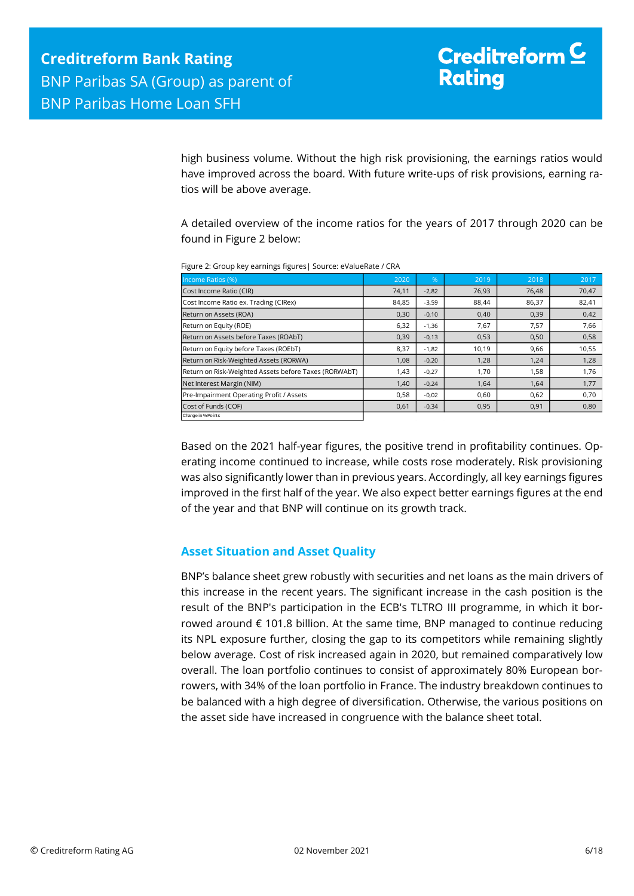high business volume. Without the high risk provisioning, the earnings ratios would have improved across the board. With future write-ups of risk provisions, earning ratios will be above average.

A detailed overview of the income ratios for the years of 2017 through 2020 can be found in Figure 2 below:

| Income Ratios (%)                                     | 2020  | $\%$    | 2019  | 2018  | 2017  |
|-------------------------------------------------------|-------|---------|-------|-------|-------|
| Cost Income Ratio (CIR)                               | 74,11 | $-2,82$ | 76,93 | 76,48 | 70,47 |
| Cost Income Ratio ex. Trading (CIRex)                 | 84,85 | $-3,59$ | 88,44 | 86,37 | 82,41 |
| Return on Assets (ROA)                                | 0,30  | $-0,10$ | 0,40  | 0,39  | 0,42  |
| Return on Equity (ROE)                                | 6,32  | $-1,36$ | 7,67  | 7,57  | 7,66  |
| Return on Assets before Taxes (ROAbT)                 | 0,39  | $-0,13$ | 0,53  | 0,50  | 0,58  |
| Return on Equity before Taxes (ROEbT)                 | 8,37  | $-1,82$ | 10,19 | 9,66  | 10,55 |
| Return on Risk-Weighted Assets (RORWA)                | 1,08  | $-0,20$ | 1,28  | 1,24  | 1,28  |
| Return on Risk-Weighted Assets before Taxes (RORWAbT) | 1,43  | $-0,27$ | 1,70  | 1,58  | 1,76  |
| Net Interest Margin (NIM)                             | 1,40  | $-0,24$ | 1,64  | 1,64  | 1,77  |
| Pre-Impairment Operating Profit / Assets              | 0,58  | $-0,02$ | 0,60  | 0,62  | 0,70  |
| Cost of Funds (COF)                                   | 0,61  | $-0,34$ | 0,95  | 0,91  | 0,80  |
| Change in % Points                                    |       |         |       |       |       |

Figure 2: Group key earnings figures| Source: eValueRate / CRA

Based on the 2021 half-year figures, the positive trend in profitability continues. Operating income continued to increase, while costs rose moderately. Risk provisioning was also significantly lower than in previous years. Accordingly, all key earnings figures improved in the first half of the year. We also expect better earnings figures at the end of the year and that BNP will continue on its growth track.

#### <span id="page-5-0"></span>**Asset Situation and Asset Quality**

BNP's balance sheet grew robustly with securities and net loans as the main drivers of this increase in the recent years. The significant increase in the cash position is the result of the BNP's participation in the ECB's TLTRO III programme, in which it borrowed around € 101.8 billion. At the same time, BNP managed to continue reducing its NPL exposure further, closing the gap to its competitors while remaining slightly below average. Cost of risk increased again in 2020, but remained comparatively low overall. The loan portfolio continues to consist of approximately 80% European borrowers, with 34% of the loan portfolio in France. The industry breakdown continues to be balanced with a high degree of diversification. Otherwise, the various positions on the asset side have increased in congruence with the balance sheet total.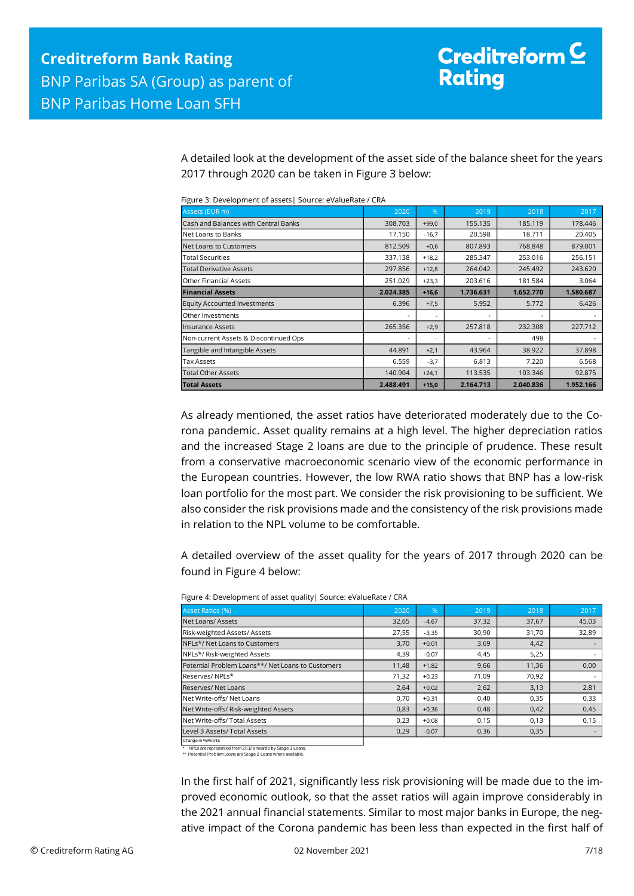A detailed look at the development of the asset side of the balance sheet for the years 2017 through 2020 can be taken in Figure 3 below:

| Assets (EUR m)                        | 2020      | %       | 2019      | 2018                     | 2017      |
|---------------------------------------|-----------|---------|-----------|--------------------------|-----------|
| Cash and Balances with Central Banks  | 308.703   | $+99.0$ | 155.135   | 185.119                  | 178,446   |
| Net Loans to Banks                    | 17.150    | $-16,7$ | 20.598    | 18.711                   | 20.405    |
| Net Loans to Customers                | 812.509   | $+0,6$  | 807.893   | 768.848                  | 879.001   |
| <b>Total Securities</b>               | 337.138   | $+18,2$ | 285.347   | 253.016                  | 256.151   |
| <b>Total Derivative Assets</b>        | 297.856   | $+12,8$ | 264.042   | 245.492                  | 243.620   |
| <b>Other Financial Assets</b>         | 251.029   | $+23,3$ | 203.616   | 181.584                  | 3.064     |
| <b>Financial Assets</b>               | 2.024.385 | $+16,6$ | 1.736.631 | 1.652.770                | 1.580.687 |
| <b>Equity Accounted Investments</b>   | 6.396     | $+7,5$  | 5.952     | 5.772                    | 6.426     |
| Other Investments                     |           |         |           | $\overline{\phantom{0}}$ |           |
| Insurance Assets                      | 265.356   | $+2,9$  | 257.818   | 232.308                  | 227.712   |
| Non-current Assets & Discontinued Ops |           |         |           | 498                      |           |
| Tangible and Intangible Assets        | 44.891    | $+2,1$  | 43.964    | 38.922                   | 37.898    |
| <b>Tax Assets</b>                     | 6.559     | $-3,7$  | 6.813     | 7.220                    | 6.568     |
| <b>Total Other Assets</b>             | 140.904   | $+24,1$ | 113.535   | 103.346                  | 92.875    |
| <b>Total Assets</b>                   | 2.488.491 | $+15,0$ | 2.164.713 | 2.040.836                | 1.952.166 |

Figure 3: Development of assets| Source: eValueRate / CRA

As already mentioned, the asset ratios have deteriorated moderately due to the Corona pandemic. Asset quality remains at a high level. The higher depreciation ratios and the increased Stage 2 loans are due to the principle of prudence. These result from a conservative macroeconomic scenario view of the economic performance in the European countries. However, the low RWA ratio shows that BNP has a low-risk loan portfolio for the most part. We consider the risk provisioning to be sufficient. We also consider the risk provisions made and the consistency of the risk provisions made in relation to the NPL volume to be comfortable.

A detailed overview of the asset quality for the years of 2017 through 2020 can be found in Figure 4 below:

| <b>Asset Ratios (%)</b>                           | 2020  | .96     | 2019  | 2018  | 2017  |
|---------------------------------------------------|-------|---------|-------|-------|-------|
| Net Loans/Assets                                  | 32,65 | $-4,67$ | 37,32 | 37,67 | 45,03 |
| Risk-weighted Assets/Assets                       | 27,55 | $-3,35$ | 30,90 | 31,70 | 32,89 |
| NPLs*/ Net Loans to Customers                     | 3,70  | $+0,01$ | 3,69  | 4,42  |       |
| NPLs*/ Risk-weighted Assets                       | 4,39  | $-0,07$ | 4,45  | 5,25  |       |
| Potential Problem Loans**/ Net Loans to Customers | 11,48 | $+1,82$ | 9,66  | 11,36 | 0,00  |
| IReserves/NPLs*                                   | 71,32 | $+0,23$ | 71.09 | 70,92 |       |
| Reserves/Net Loans                                | 2,64  | $+0,02$ | 2,62  | 3,13  | 2,81  |
| Net Write-offs/Net Loans                          | 0,70  | $+0,31$ | 0,40  | 0,35  | 0,33  |
| Net Write-offs/ Risk-weighted Assets              | 0,83  | $+0,36$ | 0,48  | 0,42  | 0,45  |
| Net Write-offs/ Total Assets                      | 0,23  | $+0,08$ | 0,15  | 0,13  | 0,15  |
| Level 3 Assets/ Total Assets                      | 0,29  | $-0,07$ | 0,36  | 0,35  |       |
| Change in % Points                                |       |         |       |       |       |

Figure 4: Development of asset quality| Source: eValueRate / CRA

\* NPLs are represented from 2017 onwards by Stage 3 Loans. \*\* Potential Problem Loans are Stage 2 Loans where available.

In the first half of 2021, significantly less risk provisioning will be made due to the improved economic outlook, so that the asset ratios will again improve considerably in the 2021 annual financial statements. Similar to most major banks in Europe, the negative impact of the Corona pandemic has been less than expected in the first half of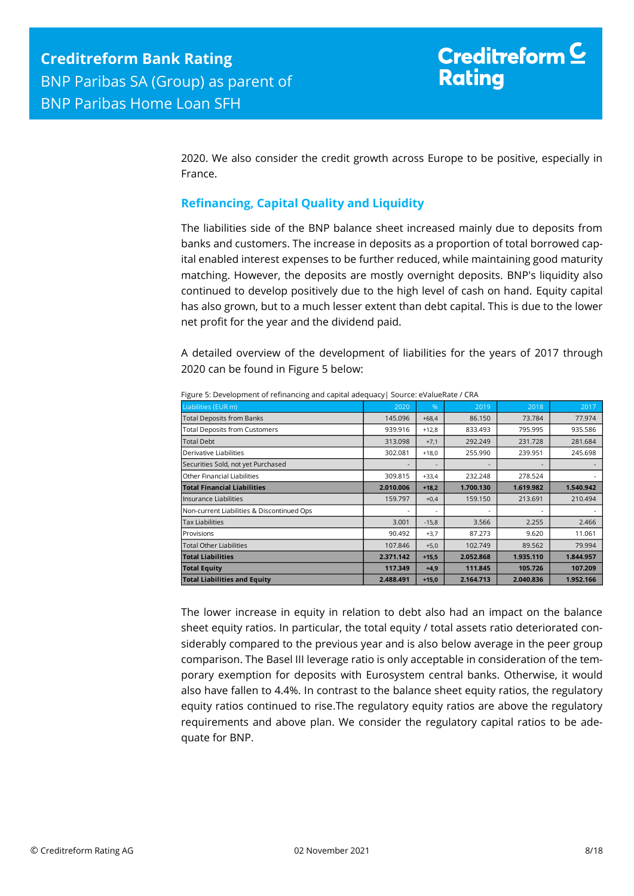2020. We also consider the credit growth across Europe to be positive, especially in France.

## <span id="page-7-0"></span>**Refinancing, Capital Quality and Liquidity**

The liabilities side of the BNP balance sheet increased mainly due to deposits from banks and customers. The increase in deposits as a proportion of total borrowed capital enabled interest expenses to be further reduced, while maintaining good maturity matching. However, the deposits are mostly overnight deposits. BNP's liquidity also continued to develop positively due to the high level of cash on hand. Equity capital has also grown, but to a much lesser extent than debt capital. This is due to the lower net profit for the year and the dividend paid.

A detailed overview of the development of liabilities for the years of 2017 through 2020 can be found in Figure 5 below:

| Liabilities (EUR m)                        | 2020      | %       | 2019      | 2018      | 2017      |
|--------------------------------------------|-----------|---------|-----------|-----------|-----------|
| <b>Total Deposits from Banks</b>           | 145.096   | $+68.4$ | 86.150    | 73.784    | 77.974    |
| <b>Total Deposits from Customers</b>       | 939.916   | $+12,8$ | 833.493   | 795.995   | 935.586   |
| <b>Total Debt</b>                          | 313.098   | $+7,1$  | 292.249   | 231.728   | 281.684   |
| Derivative Liabilities                     | 302.081   | $+18.0$ | 255.990   | 239.951   | 245.698   |
| Securities Sold, not yet Purchased         |           |         |           |           |           |
| Other Financial Liabilities                | 309.815   | $+33,4$ | 232.248   | 278.524   |           |
| <b>Total Financial Liabilities</b>         | 2.010.006 | $+18,2$ | 1.700.130 | 1.619.982 | 1.540.942 |
| Insurance Liabilities                      | 159.797   | $+0,4$  | 159.150   | 213.691   | 210.494   |
| Non-current Liabilities & Discontinued Ops |           |         |           |           |           |
| <b>Tax Liabilities</b>                     | 3.001     | $-15,8$ | 3.566     | 2.255     | 2.466     |
| Provisions                                 | 90.492    | $+3,7$  | 87.273    | 9.620     | 11.061    |
| Total Other Liabilities                    | 107.846   | $+5,0$  | 102.749   | 89.562    | 79.994    |
| <b>Total Liabilities</b>                   | 2.371.142 | $+15,5$ | 2.052.868 | 1.935.110 | 1.844.957 |
| <b>Total Equity</b>                        | 117.349   | $+4,9$  | 111.845   | 105.726   | 107.209   |
| <b>Total Liabilities and Equity</b>        | 2.488.491 | $+15,0$ | 2.164.713 | 2.040.836 | 1.952.166 |

Figure 5: Development of refinancing and capital adequacy| Source: eValueRate / CRA

The lower increase in equity in relation to debt also had an impact on the balance sheet equity ratios. In particular, the total equity / total assets ratio deteriorated considerably compared to the previous year and is also below average in the peer group comparison. The Basel III leverage ratio is only acceptable in consideration of the temporary exemption for deposits with Eurosystem central banks. Otherwise, it would also have fallen to 4.4%. In contrast to the balance sheet equity ratios, the regulatory equity ratios continued to rise.The regulatory equity ratios are above the regulatory requirements and above plan. We consider the regulatory capital ratios to be adequate for BNP.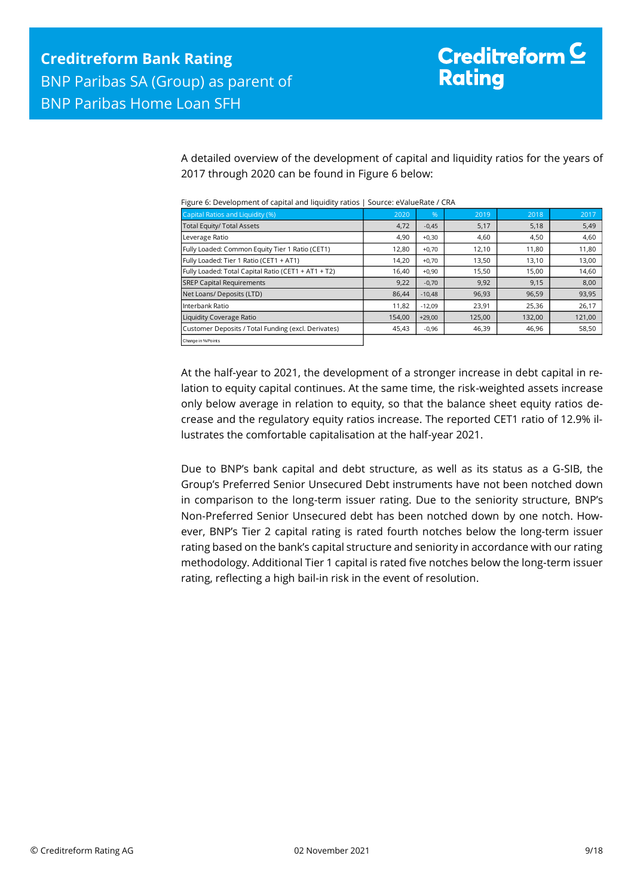A detailed overview of the development of capital and liquidity ratios for the years of 2017 through 2020 can be found in Figure 6 below:

| Capital Ratios and Liquidity (%)                    | 2020   | %        | 2019   | 2018   | 2017   |
|-----------------------------------------------------|--------|----------|--------|--------|--------|
| <b>Total Equity/ Total Assets</b>                   | 4,72   | $-0,45$  | 5,17   | 5,18   | 5,49   |
| Leverage Ratio                                      | 4,90   | $+0,30$  | 4,60   | 4,50   | 4,60   |
| Fully Loaded: Common Equity Tier 1 Ratio (CET1)     | 12,80  | $+0,70$  | 12,10  | 11,80  | 11,80  |
| Fully Loaded: Tier 1 Ratio (CET1 + AT1)             | 14,20  | $+0,70$  | 13,50  | 13,10  | 13,00  |
| Fully Loaded: Total Capital Ratio (CET1 + AT1 + T2) | 16,40  | $+0,90$  | 15,50  | 15,00  | 14,60  |
| <b>SREP Capital Requirements</b>                    | 9,22   | $-0,70$  | 9,92   | 9,15   | 8,00   |
| Net Loans/ Deposits (LTD)                           | 86.44  | $-10,48$ | 96,93  | 96,59  | 93,95  |
| Interbank Ratio                                     | 11,82  | $-12,09$ | 23,91  | 25,36  | 26,17  |
| Liquidity Coverage Ratio                            | 154.00 | $+29,00$ | 125,00 | 132,00 | 121,00 |
| Customer Deposits / Total Funding (excl. Derivates) | 45,43  | $-0,96$  | 46,39  | 46,96  | 58,50  |
| Change in % Points                                  |        |          |        |        |        |

Figure 6: Development of capital and liquidity ratios | Source: eValueRate / CRA

At the half-year to 2021, the development of a stronger increase in debt capital in relation to equity capital continues. At the same time, the risk-weighted assets increase only below average in relation to equity, so that the balance sheet equity ratios decrease and the regulatory equity ratios increase. The reported CET1 ratio of 12.9% illustrates the comfortable capitalisation at the half-year 2021.

Due to BNP's bank capital and debt structure, as well as its status as a G-SIB, the Group's Preferred Senior Unsecured Debt instruments have not been notched down in comparison to the long-term issuer rating. Due to the seniority structure, BNP's Non-Preferred Senior Unsecured debt has been notched down by one notch. However, BNP's Tier 2 capital rating is rated fourth notches below the long-term issuer rating based on the bank's capital structure and seniority in accordance with our rating methodology. Additional Tier 1 capital is rated five notches below the long-term issuer rating, reflecting a high bail-in risk in the event of resolution.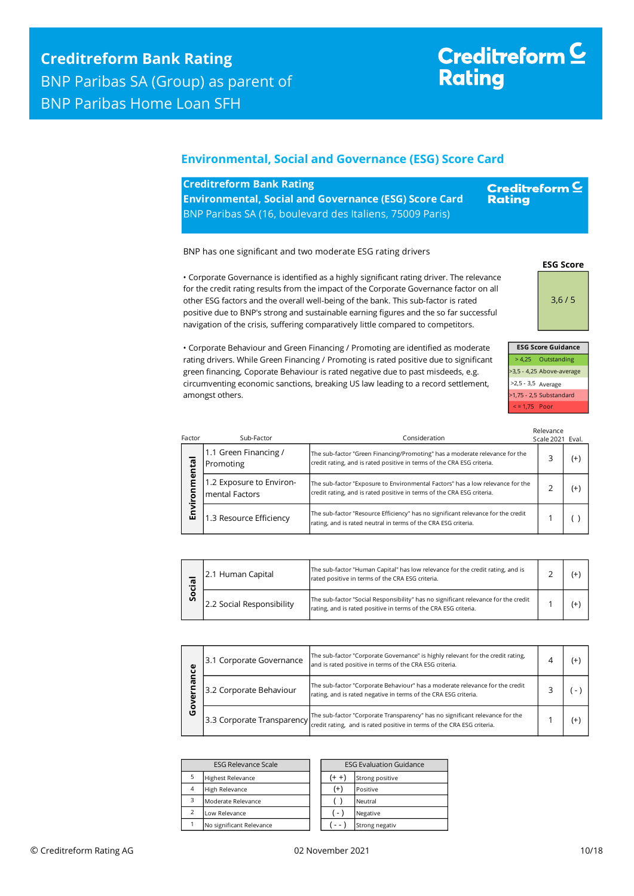#### <span id="page-9-0"></span>**Environmental, Social and Governance (ESG) Score Card**

| <b>Creditreform Bank Rating</b>                              | <b>Creditrefor</b> |
|--------------------------------------------------------------|--------------------|
| <b>Environmental, Social and Governance (ESG) Score Card</b> | <b>Rating</b>      |
| BNP Paribas SA (16, boulevard des Italiens, 75009 Paris)     |                    |

BNP has one significant and two moderate ESG rating drivers

• Corporate Governance is identified as a highly significant rating driver. The relevance for the credit rating results from the impact of the Corporate Governance factor on all other ESG factors and the overall well-being of the bank. This sub-factor is rated positive due to BNP's strong and sustainable earning figures and the so far successful navigation of the crisis, suffering comparatively little compared to competitors.



**ESG Score**

 $m \, \underline{\mathsf{C}}$ 

> 4,25 Outstanding >3,5 - 4,25 Above-average >2,5 - 3,5 Average >1,75 - 2,5 Substandard < = 1,75 Poor

Relevance

• Corporate Behaviour and Green Financing / Promoting are identified as moderate rating drivers. While Green Financing / Promoting is rated positive due to significant green financing, Coporate Behaviour is rated negative due to past misdeeds, e.g. circumventing economic sanctions, breaking US law leading to a record settlement, amongst others.

| Factor           | Sub-Factor                                         | Consideration                                                                                                                                            | Scale 2021 Eval. |     |
|------------------|----------------------------------------------------|----------------------------------------------------------------------------------------------------------------------------------------------------------|------------------|-----|
| 둡<br>등<br>≧<br>両 | 1.1 Green Financing /<br>Promoting                 | The sub-factor "Green Financing/Promoting" has a moderate relevance for the<br>credit rating, and is rated positive in terms of the CRA ESG criteria.    |                  | (+` |
|                  | 1.2 Exposure to Environ-<br><b>Imental Factors</b> | The sub-factor "Exposure to Environmental Factors" has a low relevance for the<br>credit rating, and is rated positive in terms of the CRA ESG criteria. |                  | (+  |
|                  | 1.3 Resource Efficiency                            | The sub-factor "Resource Efficiency" has no significant relevance for the credit<br>rating, and is rated neutral in terms of the CRA ESG criteria.       |                  |     |

| .പ<br>۰<br>Ū | 12.1 Human Capital         | The sub-factor "Human Capital" has low relevance for the credit rating, and is<br>rated positive in terms of the CRA ESG criteria.                    |  |  |
|--------------|----------------------------|-------------------------------------------------------------------------------------------------------------------------------------------------------|--|--|
|              | 12.2 Social Responsibility | The sub-factor "Social Responsibility" has no significant relevance for the credit<br>rating, and is rated positive in terms of the CRA ESG criteria. |  |  |

| ω | 3.1 Corporate Governance   | The sub-factor "Corporate Governance" is highly relevant for the credit rating,<br>and is rated positive in terms of the CRA ESG criteria.             |    |
|---|----------------------------|--------------------------------------------------------------------------------------------------------------------------------------------------------|----|
|   | 3.2 Corporate Behaviour    | The sub-factor "Corporate Behaviour" has a moderate relevance for the credit<br>rating, and is rated negative in terms of the CRA ESG criteria.        |    |
| O | 3.3 Corporate Transparency | The sub-factor "Corporate Transparency" has no significant relevance for the<br>credit rating, and is rated positive in terms of the CRA ESG criteria. | (+ |

| <b>ESG Relevance Scale</b> |                          |  |          | <b>ESG Evaluation G</b> |
|----------------------------|--------------------------|--|----------|-------------------------|
| 5                          | <b>Highest Relevance</b> |  |          | Strong positive         |
| 4                          | High Relevance           |  | $^{(+)}$ | Positive                |
| 3                          | Moderate Relevance       |  |          | Neutral                 |
|                            | Low Relevance            |  | $r - 1$  | Negative                |
|                            | No significant Relevance |  |          | Strong negativ          |

| <b>ESG Relevance Scale</b> |  | <b>ESG Evaluation Guidance</b> |                 |  |
|----------------------------|--|--------------------------------|-----------------|--|
| hest Relevance             |  | $(+ +)$                        | Strong positive |  |
| h Relevance                |  | $^{(+)}$                       | Positive        |  |
| derate Relevance           |  |                                | Neutral         |  |
| v Relevance                |  | $-$                            | Negative        |  |
| significant Relevance      |  |                                | Strong negativ  |  |

|  | ဗိ |
|--|----|
|  |    |
|  |    |
|  |    |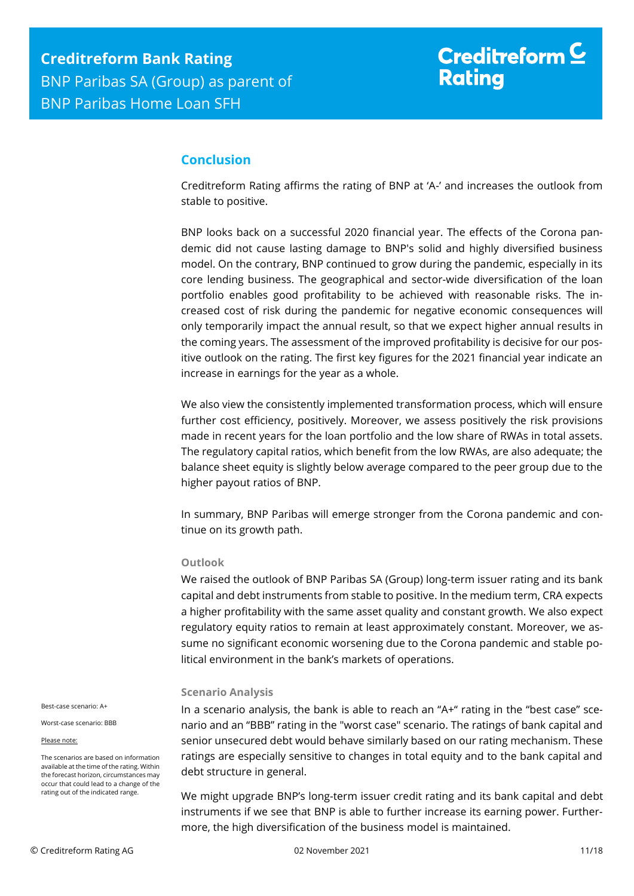## <span id="page-10-0"></span>**Conclusion**

Creditreform Rating affirms the rating of BNP at 'A-' and increases the outlook from stable to positive.

BNP looks back on a successful 2020 financial year. The effects of the Corona pandemic did not cause lasting damage to BNP's solid and highly diversified business model. On the contrary, BNP continued to grow during the pandemic, especially in its core lending business. The geographical and sector-wide diversification of the loan portfolio enables good profitability to be achieved with reasonable risks. The increased cost of risk during the pandemic for negative economic consequences will only temporarily impact the annual result, so that we expect higher annual results in the coming years. The assessment of the improved profitability is decisive for our positive outlook on the rating. The first key figures for the 2021 financial year indicate an increase in earnings for the year as a whole.

We also view the consistently implemented transformation process, which will ensure further cost efficiency, positively. Moreover, we assess positively the risk provisions made in recent years for the loan portfolio and the low share of RWAs in total assets. The regulatory capital ratios, which benefit from the low RWAs, are also adequate; the balance sheet equity is slightly below average compared to the peer group due to the higher payout ratios of BNP.

In summary, BNP Paribas will emerge stronger from the Corona pandemic and continue on its growth path.

#### **Outlook**

We raised the outlook of BNP Paribas SA (Group) long-term issuer rating and its bank capital and debt instruments from stable to positive. In the medium term, CRA expects a higher profitability with the same asset quality and constant growth. We also expect regulatory equity ratios to remain at least approximately constant. Moreover, we assume no significant economic worsening due to the Corona pandemic and stable political environment in the bank's markets of operations.

#### **Scenario Analysis**

In a scenario analysis, the bank is able to reach an "A+" rating in the "best case" scenario and an "BBB" rating in the "worst case" scenario. The ratings of bank capital and senior unsecured debt would behave similarly based on our rating mechanism. These ratings are especially sensitive to changes in total equity and to the bank capital and debt structure in general.

We might upgrade BNP's long-term issuer credit rating and its bank capital and debt instruments if we see that BNP is able to further increase its earning power. Furthermore, the high diversification of the business model is maintained.

Best-case scenario: A+

Worst-case scenario: BBB

Please note:

The scenarios are based on information available at the time of the rating. Within the forecast horizon, circumstances may occur that could lead to a change of the rating out of the indicated range.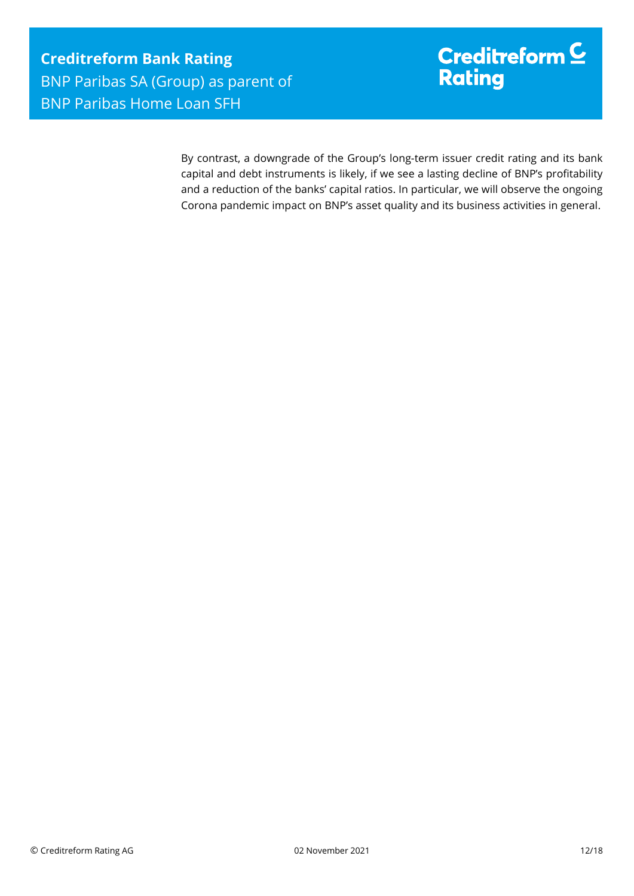By contrast, a downgrade of the Group's long-term issuer credit rating and its bank capital and debt instruments is likely, if we see a lasting decline of BNP's profitability and a reduction of the banks' capital ratios. In particular, we will observe the ongoing Corona pandemic impact on BNP's asset quality and its business activities in general.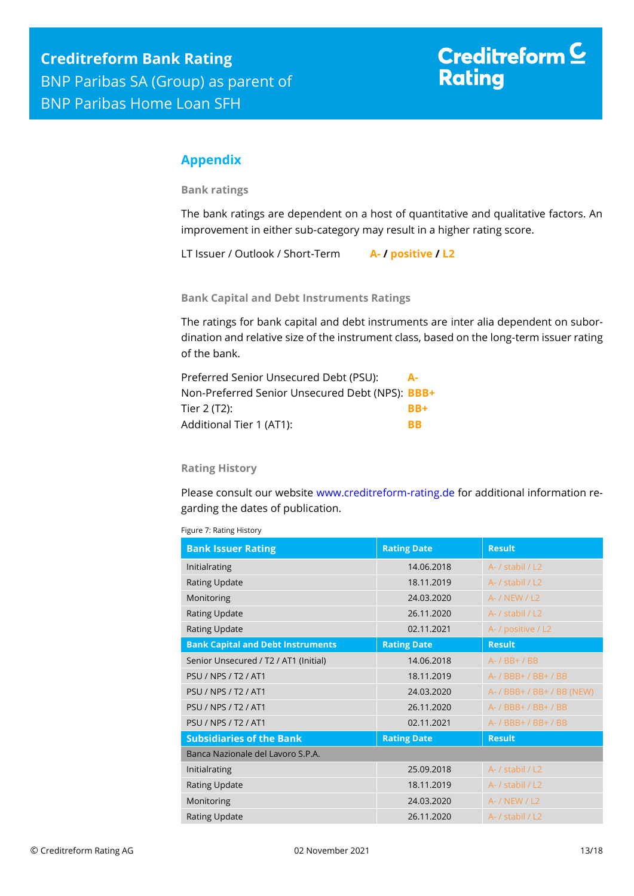## <span id="page-12-0"></span>**Appendix**

**Bank ratings**

The bank ratings are dependent on a host of quantitative and qualitative factors. An improvement in either sub-category may result in a higher rating score.

LT Issuer / Outlook / Short-Term **A- / positive / L2**

**Bank Capital and Debt Instruments Ratings**

The ratings for bank capital and debt instruments are inter alia dependent on subordination and relative size of the instrument class, based on the long-term issuer rating of the bank.

| Preferred Senior Unsecured Debt (PSU):          | А-        |
|-------------------------------------------------|-----------|
| Non-Preferred Senior Unsecured Debt (NPS): BBB+ |           |
| Tier 2 (T2):                                    | RR+       |
| Additional Tier 1 (AT1):                        | <b>RR</b> |

#### **Rating History**

Please consult our website [www.creditreform-rating.de](http://www.creditreform-rating.de/) for additional information regarding the dates of publication.

|  | Figure 7: Rating History |  |
|--|--------------------------|--|
|--|--------------------------|--|

| <b>Bank Issuer Rating</b>                | <b>Rating Date</b> | <b>Result</b>              |
|------------------------------------------|--------------------|----------------------------|
| Initialrating                            | 14.06.2018         | A- / stabil / L2           |
| <b>Rating Update</b>                     | 18.11.2019         | A- / stabil / L2           |
| Monitoring                               | 24.03.2020         | A- / NEW / L2              |
| <b>Rating Update</b>                     | 26.11.2020         | A- / stabil / L2           |
| <b>Rating Update</b>                     | 02.11.2021         | A- / positive / L2         |
| <b>Bank Capital and Debt Instruments</b> | <b>Rating Date</b> | <b>Result</b>              |
| Senior Unsecured / T2 / AT1 (Initial)    | 14.06.2018         | A- / BB+ / BB              |
| <b>PSU / NPS / T2 / AT1</b>              | 18.11.2019         | A- / BBB+ / BB+ / BB       |
| <b>PSU / NPS / T2 / AT1</b>              | 24.03.2020         | A- / BBB+ / BB+ / BB (NEW) |
| <b>PSU / NPS / T2 / AT1</b>              | 26.11.2020         | A- / BBB+ / BB+ / BB       |
| <b>PSU / NPS / T2 / AT1</b>              | 02.11.2021         | A- / BBB+ / BB+ / BB       |
| <b>Subsidiaries of the Bank</b>          | <b>Rating Date</b> | <b>Result</b>              |
| Banca Nazionale del Lavoro S.P.A.        |                    |                            |
| Initialrating                            | 25.09.2018         | A- / stabil / L2           |
| <b>Rating Update</b>                     | 18.11.2019         | A- / stabil / L2           |
| Monitoring                               | 24.03.2020         | A- / NEW / L2              |
| <b>Rating Update</b>                     | 26.11.2020         | A- / stabil / L2           |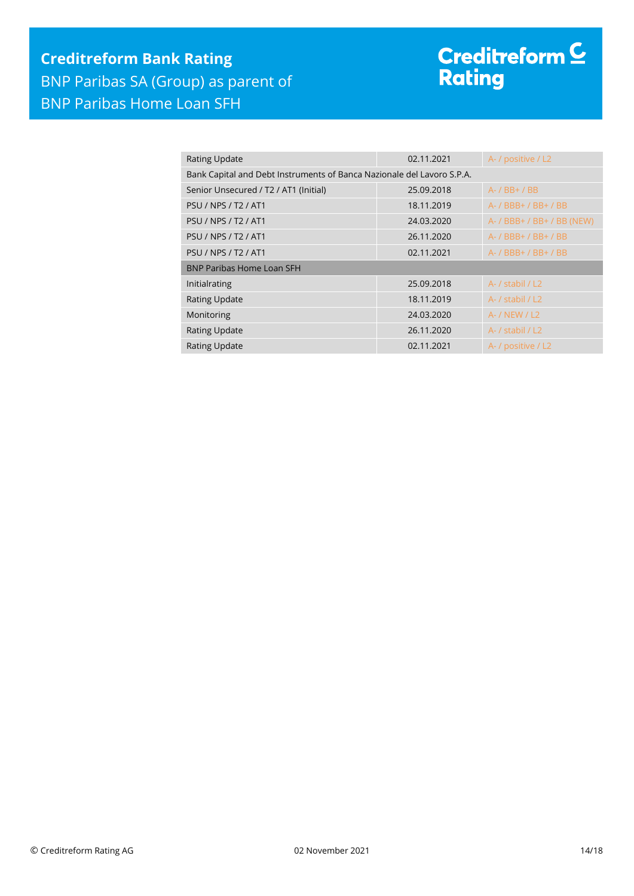# **Creditreform Bank Rating** BNP Paribas SA (Group) as parent of BNP Paribas Home Loan SFH

# Creditreform <sup>C</sup><br>Rating

| <b>Rating Update</b>                                                   | 02.11.2021 | A- / positive / L2         |  |
|------------------------------------------------------------------------|------------|----------------------------|--|
| Bank Capital and Debt Instruments of Banca Nazionale del Lavoro S.P.A. |            |                            |  |
| Senior Unsecured / T2 / AT1 (Initial)                                  | 25.09.2018 | $A - / BB + / BB$          |  |
| <b>PSU / NPS / T2 / AT1</b>                                            | 18.11.2019 | A- / BBB+ / BB+ / BB       |  |
| <b>PSU / NPS / T2 / AT1</b>                                            | 24.03.2020 | A- / BBB+ / BB+ / BB (NEW) |  |
| <b>PSU / NPS / T2 / AT1</b>                                            | 26.11.2020 | A- / BBB+ / BB+ / BB       |  |
| <b>PSU / NPS / T2 / AT1</b>                                            | 02.11.2021 | A- / BBB+ / BB+ / BB       |  |
| <b>BNP Paribas Home Loan SFH</b>                                       |            |                            |  |
| Initialrating                                                          | 25.09.2018 | A- / stabil / L2           |  |
| <b>Rating Update</b>                                                   | 18.11.2019 | A- / stabil / L2           |  |
| Monitoring                                                             | 24.03.2020 | A- / NEW / L2              |  |
| <b>Rating Update</b>                                                   | 26.11.2020 | A- / stabil / L2           |  |
| <b>Rating Update</b>                                                   | 02.11.2021 | A- / positive / L2         |  |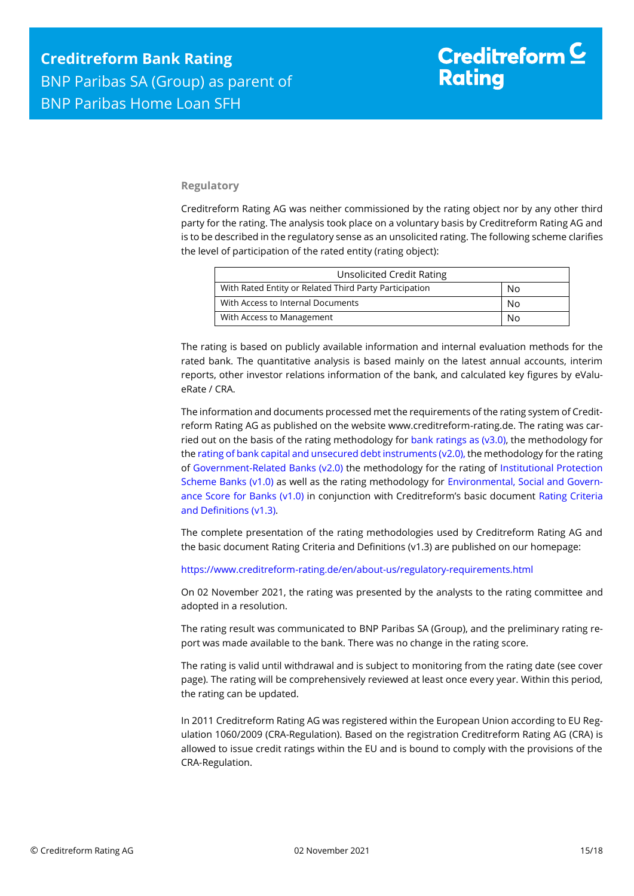#### **Regulatory**

Creditreform Rating AG was neither commissioned by the rating object nor by any other third party for the rating. The analysis took place on a voluntary basis by Creditreform Rating AG and is to be described in the regulatory sense as an unsolicited rating. The following scheme clarifies the level of participation of the rated entity (rating object):

| <b>Unsolicited Credit Rating</b>                       |    |
|--------------------------------------------------------|----|
| With Rated Entity or Related Third Party Participation | No |
| With Access to Internal Documents                      | No |
| With Access to Management                              | Nο |

The rating is based on publicly available information and internal evaluation methods for the rated bank. The quantitative analysis is based mainly on the latest annual accounts, interim reports, other investor relations information of the bank, and calculated key figures by eValueRate / CRA.

The information and documents processed met the requirements of the rating system of Creditreform Rating AG as published on the website www.creditreform-rating.de. The rating was carried out on the basis of the rating methodology for bank ratings as  $(v3.0)$ , the methodology for th[e rating of bank capital and unsecured debt instruments \(v2.0\),](https://www.creditreform-rating.de/en/about-us/regulatory-requirements.html?file=files/content/downloads/Externes%20Rating/Regulatorische%20Anforderungen/EN/Ratingmethodiken%20EN/Bank%20Capital%20and%20Unsecured%20Debt%20Instruments%20Methodology.pdf) the methodology for the rating of [Government-Related Banks \(v2.0\)](https://www.creditreform-rating.de/en/about-us/regulatory-requirements.html?file=files/content/downloads/Externes%20Rating/Regulatorische%20Anforderungen/EN/Ratingmethodiken%20EN/Sub-Methodology%20-%20Government-Related%20Banks.pdf) the methodology for the rating of [Institutional Protection](https://www.creditreform-rating.de/en/about-us/regulatory-requirements.html?file=files/content/downloads/Externes%20Rating/Regulatorische%20Anforderungen/EN/Ratingmethodiken%20EN/Rating%20Methodology%20Institutional%20Protection%20Scheme%20Banks%20v1.0.pdf)  [Scheme Banks](https://www.creditreform-rating.de/en/about-us/regulatory-requirements.html?file=files/content/downloads/Externes%20Rating/Regulatorische%20Anforderungen/EN/Ratingmethodiken%20EN/Rating%20Methodology%20Institutional%20Protection%20Scheme%20Banks%20v1.0.pdf) (v1.0) as well as the rating methodology for [Environmental, Social and Govern](https://www.creditreform-rating.de/en/about-us/regulatory-requirements.html?file=files/content/downloads/Externes%20Rating/Regulatorische%20Anforderungen/EN/Ratingmethodiken%20EN/Rating%20Methodology%20ESG%20v1.0.pdf)[ance Score for Banks \(v1.0\)](https://www.creditreform-rating.de/en/about-us/regulatory-requirements.html?file=files/content/downloads/Externes%20Rating/Regulatorische%20Anforderungen/EN/Ratingmethodiken%20EN/Rating%20Methodology%20ESG%20v1.0.pdf) in conjunction with Creditreform's basic document [Rating Criteria](https://www.creditreform-rating.de/en/about-us/regulatory-requirements.html?file=files/content/downloads/Externes%20Rating/Regulatorische%20Anforderungen/EN/Ratingmethodiken%20EN/CRAG%20Rating%20Criteria%20and%20Definitions.pdf)  [and Definitions \(v1.3\).](https://www.creditreform-rating.de/en/about-us/regulatory-requirements.html?file=files/content/downloads/Externes%20Rating/Regulatorische%20Anforderungen/EN/Ratingmethodiken%20EN/CRAG%20Rating%20Criteria%20and%20Definitions.pdf)

The complete presentation of the rating methodologies used by Creditreform Rating AG and the basic document Rating Criteria and Definitions (v1.3) are published on our homepage:

<https://www.creditreform-rating.de/en/about-us/regulatory-requirements.html>

On 02 November 2021, the rating was presented by the analysts to the rating committee and adopted in a resolution.

The rating result was communicated to BNP Paribas SA (Group), and the preliminary rating report was made available to the bank. There was no change in the rating score.

The rating is valid until withdrawal and is subject to monitoring from the rating date (see cover page). The rating will be comprehensively reviewed at least once every year. Within this period, the rating can be updated.

In 2011 Creditreform Rating AG was registered within the European Union according to EU Regulation 1060/2009 (CRA-Regulation). Based on the registration Creditreform Rating AG (CRA) is allowed to issue credit ratings within the EU and is bound to comply with the provisions of the CRA-Regulation.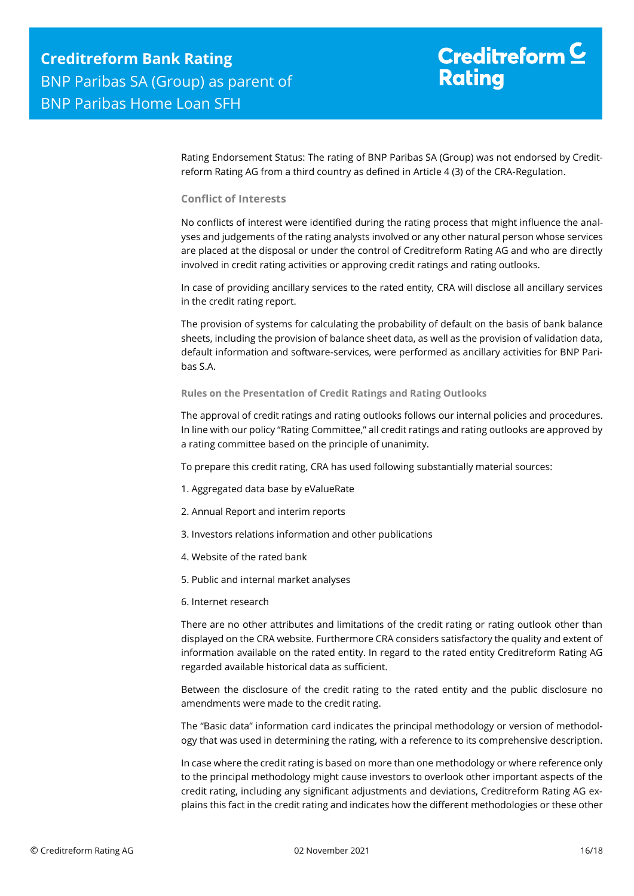Rating Endorsement Status: The rating of BNP Paribas SA (Group) was not endorsed by Creditreform Rating AG from a third country as defined in Article 4 (3) of the CRA-Regulation.

#### **Conflict of Interests**

No conflicts of interest were identified during the rating process that might influence the analyses and judgements of the rating analysts involved or any other natural person whose services are placed at the disposal or under the control of Creditreform Rating AG and who are directly involved in credit rating activities or approving credit ratings and rating outlooks.

In case of providing ancillary services to the rated entity, CRA will disclose all ancillary services in the credit rating report.

The provision of systems for calculating the probability of default on the basis of bank balance sheets, including the provision of balance sheet data, as well as the provision of validation data, default information and software-services, were performed as ancillary activities for BNP Paribas S.A.

#### **Rules on the Presentation of Credit Ratings and Rating Outlooks**

The approval of credit ratings and rating outlooks follows our internal policies and procedures. In line with our policy "Rating Committee," all credit ratings and rating outlooks are approved by a rating committee based on the principle of unanimity.

To prepare this credit rating, CRA has used following substantially material sources:

- 1. Aggregated data base by eValueRate
- 2. Annual Report and interim reports
- 3. Investors relations information and other publications
- 4. Website of the rated bank
- 5. Public and internal market analyses
- 6. Internet research

There are no other attributes and limitations of the credit rating or rating outlook other than displayed on the CRA website. Furthermore CRA considers satisfactory the quality and extent of information available on the rated entity. In regard to the rated entity Creditreform Rating AG regarded available historical data as sufficient.

Between the disclosure of the credit rating to the rated entity and the public disclosure no amendments were made to the credit rating.

The "Basic data" information card indicates the principal methodology or version of methodology that was used in determining the rating, with a reference to its comprehensive description.

In case where the credit rating is based on more than one methodology or where reference only to the principal methodology might cause investors to overlook other important aspects of the credit rating, including any significant adjustments and deviations, Creditreform Rating AG explains this fact in the credit rating and indicates how the different methodologies or these other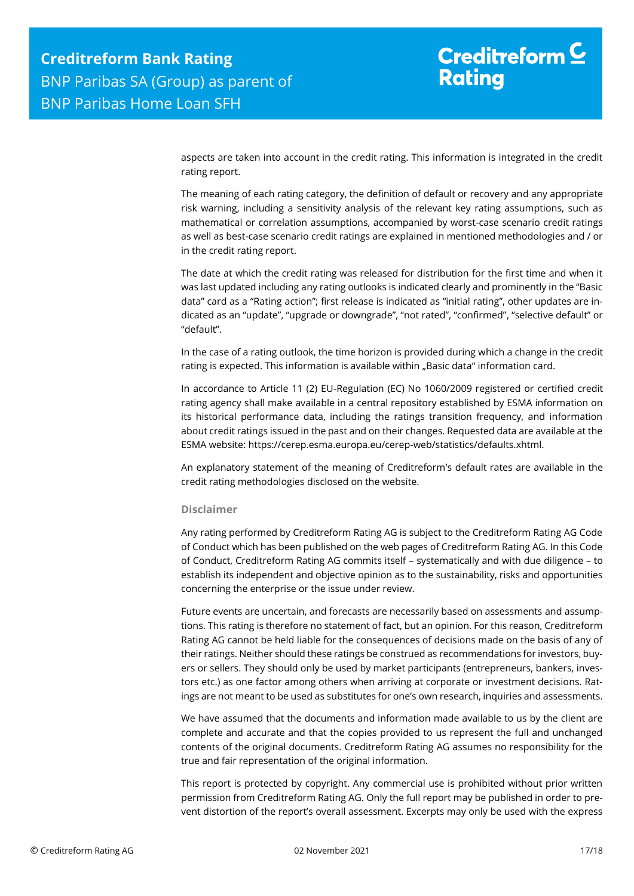# Creditreform  $\underline{\mathsf{C}}$ **Rating**

aspects are taken into account in the credit rating. This information is integrated in the credit rating report.

The meaning of each rating category, the definition of default or recovery and any appropriate risk warning, including a sensitivity analysis of the relevant key rating assumptions, such as mathematical or correlation assumptions, accompanied by worst-case scenario credit ratings as well as best-case scenario credit ratings are explained in mentioned methodologies and / or in the credit rating report.

The date at which the credit rating was released for distribution for the first time and when it was last updated including any rating outlooks is indicated clearly and prominently in the "Basic data" card as a "Rating action"; first release is indicated as "initial rating", other updates are indicated as an "update", "upgrade or downgrade", "not rated", "confirmed", "selective default" or "default".

In the case of a rating outlook, the time horizon is provided during which a change in the credit rating is expected. This information is available within "Basic data" information card.

In accordance to Article 11 (2) EU-Regulation (EC) No 1060/2009 registered or certified credit rating agency shall make available in a central repository established by ESMA information on its historical performance data, including the ratings transition frequency, and information about credit ratings issued in the past and on their changes. Requested data are available at the ESMA website: https://cerep.esma.europa.eu/cerep-web/statistics/defaults.xhtml.

An explanatory statement of the meaning of Creditreform's default rates are available in the credit rating methodologies disclosed on the website.

#### **Disclaimer**

Any rating performed by Creditreform Rating AG is subject to the Creditreform Rating AG Code of Conduct which has been published on the web pages of Creditreform Rating AG. In this Code of Conduct, Creditreform Rating AG commits itself – systematically and with due diligence – to establish its independent and objective opinion as to the sustainability, risks and opportunities concerning the enterprise or the issue under review.

Future events are uncertain, and forecasts are necessarily based on assessments and assumptions. This rating is therefore no statement of fact, but an opinion. For this reason, Creditreform Rating AG cannot be held liable for the consequences of decisions made on the basis of any of their ratings. Neither should these ratings be construed as recommendations for investors, buyers or sellers. They should only be used by market participants (entrepreneurs, bankers, investors etc.) as one factor among others when arriving at corporate or investment decisions. Ratings are not meant to be used as substitutes for one's own research, inquiries and assessments.

We have assumed that the documents and information made available to us by the client are complete and accurate and that the copies provided to us represent the full and unchanged contents of the original documents. Creditreform Rating AG assumes no responsibility for the true and fair representation of the original information.

This report is protected by copyright. Any commercial use is prohibited without prior written permission from Creditreform Rating AG. Only the full report may be published in order to prevent distortion of the report's overall assessment. Excerpts may only be used with the express